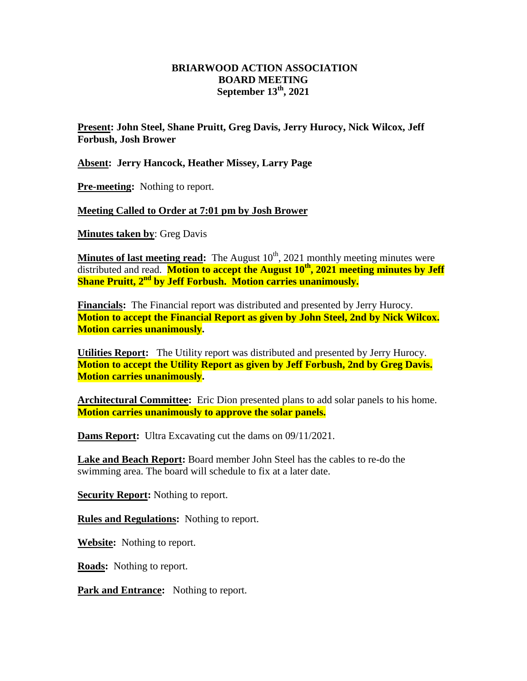## **BRIARWOOD ACTION ASSOCIATION BOARD MEETING September 13th, 2021**

**Present: John Steel, Shane Pruitt, Greg Davis, Jerry Hurocy, Nick Wilcox, Jeff Forbush, Josh Brower**

**Absent: Jerry Hancock, Heather Missey, Larry Page**

**Pre-meeting:** Nothing to report.

**Meeting Called to Order at 7:01 pm by Josh Brower**

**Minutes taken by**: Greg Davis

**Minutes of last meeting read:** The August 10<sup>th</sup>, 2021 monthly meeting minutes were distributed and read. **Motion to accept the August 10 th, 2021 meeting minutes by Jeff Shane Pruitt, 2nd by Jeff Forbush. Motion carries unanimously.**

**Financials:** The Financial report was distributed and presented by Jerry Hurocy. **Motion to accept the Financial Report as given by John Steel, 2nd by Nick Wilcox. Motion carries unanimously.** 

**Utilities Report:** The Utility report was distributed and presented by Jerry Hurocy. **Motion to accept the Utility Report as given by Jeff Forbush, 2nd by Greg Davis. Motion carries unanimously.** 

**Architectural Committee:** Eric Dion presented plans to add solar panels to his home. **Motion carries unanimously to approve the solar panels.**

**Dams Report:** Ultra Excavating cut the dams on 09/11/2021.

**Lake and Beach Report:** Board member John Steel has the cables to re-do the swimming area. The board will schedule to fix at a later date.

**Security Report:** Nothing to report.

**Rules and Regulations:** Nothing to report.

**Website:** Nothing to report.

**Roads:** Nothing to report.

Park and Entrance: Nothing to report.